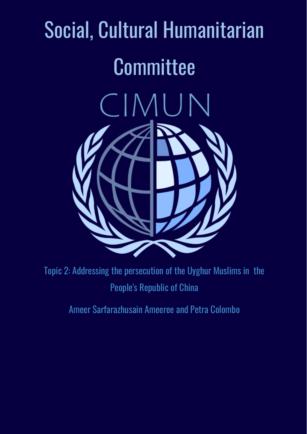# Social, Cultural Humanitarian **Committee** CIMUN



Topic 2: Addressing the persecution of the Uyghur Muslims in the People's Republic of China

Ameer Sarfarazhusain Ameeree and Petra Colombo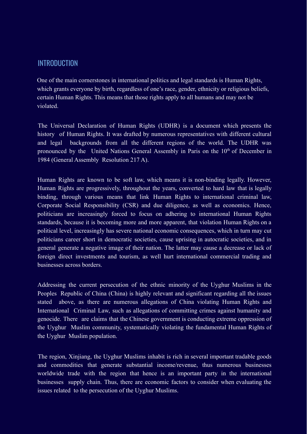## INTRODUCTION

One of the main cornerstones in international politics and legal standards is Human Rights, which grants everyone by birth, regardless of one's race, gender, ethnicity or religious beliefs. certain Human Rights. This means that those rights apply to all humans and may not be violated.

The Universal Declaration of Human Rights (UDHR) is a document which presents the history of Human Rights. It was drafted by numerous representatives with different cultural and legal backgrounds from all the different regions of the world. The UDHR was pronounced by the United Nations General Assembly in Paris on the 10<sup>th</sup> of December in 1984 (General Assembly Resolution 217 A).

Human Rights are known to be soft law, which means it is non-binding legally. However, Human Rights are progressively, throughout the years, converted to hard law that is legally binding, through various means that link Human Rights to international criminal law, Corporate Social Responsibility (CSR) and due diligence, as well as economics. Hence, politicians are increasingly forced to focus on adhering to international Human Rights standards, because it is becoming more and more apparent, that violation Human Rights on a political level, increasingly has severe national economic consequences, which in turn may cut politicians career short in democratic societies, cause uprising in autocratic societies, and in general generate a negative image of their nation. The latter may cause a decrease or lack of foreign direct investments and tourism, as well hurt international commercial trading and businesses across borders.

Addressing the current persecution of the ethnic minority of the Uyghur Muslims in the Peoples Republic of China (China) is highly relevant and significant regarding all the issues stated above, as there are numerous allegations of China violating Human Rights and International Criminal Law, such as allegations of committing crimes against humanity and genocide. There are claims that the Chinese government is conducting extreme oppression of the Uyghur Muslim community, systematically violating the fundamental Human Rights of the Uyghur Muslim population.

The region, Xinjiang, the Uyghur Muslims inhabit is rich in several important tradable goods and commodities that generate substantial income/revenue, thus numerous businesses worldwide trade with the region that hence is an important party in the international businesses supply chain. Thus, there are economic factors to consider when evaluating the issues related to the persecution of the Uyghur Muslims.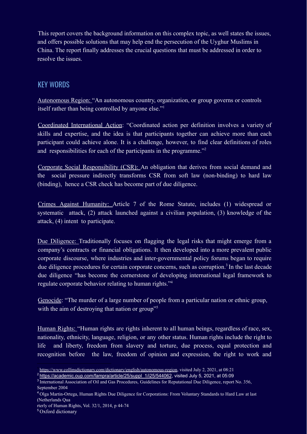This report covers the background information on this complex topic, as well states the issues, and offers possible solutions that may help end the persecution of the Uyghur Muslims in China. The report finally addresses the crucial questions that must be addressed in order to resolve the issues.

## KEY WORDS

Autonomous Region: "An autonomous country, organization, or group governs or controls itself rather than being controlled by anyone else."<sup>1</sup>

Coordinated International Action: "Coordinated action per definition involves a variety of skills and expertise, and the idea is that participants together can achieve more than each participant could achieve alone. It is a challenge, however, to find clear definitions of roles and responsibilities for each of the participants in the programme."<sup>2</sup>

Corporate Social Responsibility (CSR): An obligation that derives from social demand and the social pressure indirectly transforms CSR from soft law (non-binding) to hard law (binding), hence a CSR check has become part of due diligence.

Crimes Against Humanity: Article 7 of the Rome Statute, includes (1) widespread or systematic attack, (2) attack launched against a civilian population, (3) knowledge of the attack, (4) intent to participate.

Due Diligence: Traditionally focuses on flagging the legal risks that might emerge from a company's contracts or financial obligations. It then developed into a more prevalent public corporate discourse, where industries and inter-governmental policy forums began to require due diligence procedures for certain corporate concerns, such as corruption.<sup>3</sup> In the last decade due diligence "has become the cornerstone of developing international legal framework to regulate corporate behavior relating to human rights."<sup>4</sup>

Genocide: "The murder of a large number of people from a particular nation or ethnic group, with the aim of destroying that nation or group"<sup>5</sup>

Human Rights: "Human rights are rights inherent to all human beings, regardless of race, sex, nationality, ethnicity, language, religion, or any other status. Human rights include the right to life and liberty, freedom from slavery and torture, due process, equal protection and recognition before the law, freedom of opinion and expression, the right to work and

<sup>1</sup> https://www.collinsdictionary.com/dictionary/english/autonomous-region, visited July 2, 2021, at 08:21

<sup>2</sup> https://academic.oup.com/fampra/article/25/suppl\_1/i25/544062, visited July 5, 2021, at 05:09

<sup>&</sup>lt;sup>3</sup> International Association of Oil and Gas Procedures, Guidelines for Reputational Due Diligence, report No. 356, September 2004

<sup>&</sup>lt;sup>4</sup> Olga Martin-Ortega, Human Rights Due Diligence for Corporations: From Voluntary Standards to Hard Law at last (Netherlands Qua

rterly of Human Rights, Vol. 32/1, 2014, p 44-74

<sup>5</sup> Oxford dictionary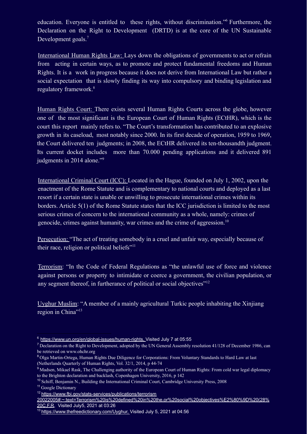education. Everyone is entitled to these rights, without discrimination." Furthermore, the Declaration on the Right to Development (DRTD) is at the core of the UN Sustainable Development goals.<sup>7</sup>

International Human Rights Law: Lays down the obligations of governments to act or refrain from acting in certain ways, as to promote and protect fundamental freedoms and Human Rights. It is a work in progress because it does not derive from International Law but rather a social expectation that is slowly finding its way into compulsory and binding legislation and regulatory framework.<sup>8</sup>

Human Rights Court: There exists several Human Rights Courts across the globe, however one of the most significant is the European Court of Human Rights (ECtHR), which is the court this report mainly refers to. "The Court's transformation has contributed to an explosive growth in its caseload, most notably since 2000. In its first decade of operation, 1959 to 1969, the Court delivered ten judgments; in 2008, the ECtHR delivered its ten-thousandth judgment. Its current docket includes more than 70.000 pending applications and it delivered 891 judgments in 2014 alone."<sup>9</sup>

International Criminal Court (ICC): Located in the Hague, founded on July 1, 2002, upon the enactment of the Rome Statute and is complementary to national courts and deployed as a last resort if a certain state is unable or unwilling to prosecute international crimes within its borders. Article 5(1) of the Rome Statute states that the ICC jurisdiction is limited to the most serious crimes of concern to the international community as a whole, namely: crimes of genocide, crimes against humanity, war crimes and the crime of aggression.<sup>10</sup>

Persecution: "The act of treating somebody in a cruel and unfair way, especially because of their race, religion or political beliefs"<sup>11</sup>

Terrorism: "In the Code of Federal Regulations as "the unlawful use of force and violence against persons or property to intimidate or coerce a government, the civilian population, or any segment thereof, in furtherance of political or social objectives"<sup>12</sup>

Uyghur Muslim: "A member of a mainly agricultural Turkic people inhabiting the Xinjiang region in China"<sup>13</sup>

<sup>11</sup> Google Dictionary

<sup>6</sup> https://www.un.org/en/global-issues/human-rights, Visited July 7 at 05:55

<sup>&</sup>lt;sup>7</sup> Declaration on the Right to Development, adopted by the UN General Assembly resolution  $41/128$  of December 1986, can be retrieved on www.ohchr.org

<sup>8</sup> Olga Martin-Ortega, Human Rights Due Diligence for Corporations: From Voluntary Standards to Hard Law at last (Netherlands Quarterly of Human Rights, Vol. 32/1, 2014, p 44-74

<sup>&</sup>lt;sup>9</sup> Madsen, Mikael Rask, The Challenging authority of the European Court of Human Rights: From cold war legal diplomacy to the Brighton declaration and backlash, Copenhagen University, 2016, p 142

<sup>&</sup>lt;sup>10</sup> Schiff, Benjamin N., Building the International Criminal Court, Cambridge University Press, 2008

<sup>12</sup> https://www.fbi.gov/stats-services/publications/terrorism

<sup>20022005#:~:</sup>text=Terrorism%20is%20defined%20in%20the,or%20social%20objectives%E2%80%9D%20(28% 20C.F.R, Visited July5, 2021 at 03:26

<sup>&</sup>lt;sup>13</sup> https://www.thefreedictionary.com/Uyghur, Visited July 5, 2021 at 04:56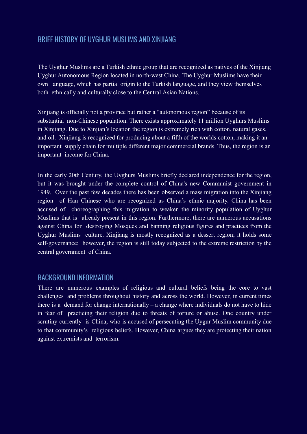## BRIEF HISTORY OF UYGHUR MUSLIMS AND XINJIANG

The Uyghur Muslims are a Turkish ethnic group that are recognized as natives of the Xinjiang Uyghur Autonomous Region located in north-west China. The Uyghur Muslims have their own language, which has partial origin to the Turkish language, and they view themselves both ethnically and culturally close to the Central Asian Nations.

Xinjiang is officially not a province but rather a "autonomous region" because of its substantial non-Chinese population. There exists approximately 11 million Uyghurs Muslims in Xinjiang. Due to Xinjian's location the region is extremely rich with cotton, natural gases, and oil. Xinjiang is recognized for producing about a fifth of the worlds cotton, making it an important supply chain for multiple different major commercial brands. Thus, the region is an important income for China.

In the early 20th Century, the Uyghurs Muslims briefly declared independence for the region, but it was brought under the complete control of China's new Communist government in 1949. Over the past few decades there has been observed a mass migration into the Xinjiang region of Han Chinese who are recognized as China's ethnic majority. China has been accused of choreographing this migration to weaken the minority population of Uyghur Muslims that is already present in this region. Furthermore, there are numerous accusations against China for destroying Mosques and banning religious figures and practices from the Uyghur Muslims culture. Xinjiang is mostly recognized as a dessert region; it holds some self-governance; however, the region is still today subjected to the extreme restriction by the central government of China.

## BACKGROUND INFORMATION

There are numerous examples of religious and cultural beliefs being the core to vast challenges and problems throughout history and across the world. However, in current times there is a demand for change internationally – a change where individuals do not have to hide in fear of practicing their religion due to threats of torture or abuse. One country under scrutiny currently is China, who is accused of persecuting the Uygur Muslim community due to that community's religious beliefs. However, China argues they are protecting their nation against extremists and terrorism.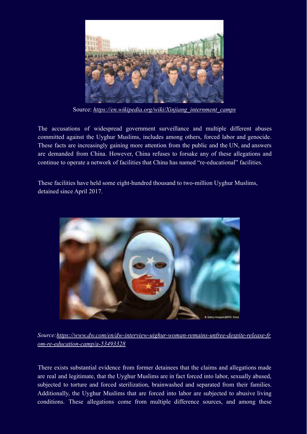

Source: *https://en.wikipedia.org/wiki/Xinjiang\_internment\_camps*

The accusations of widespread government surveillance and multiple different abuses committed against the Uyghur Muslims, includes among others, forced labor and genocide. These facts are increasingly gaining more attention from the public and the UN, and answers are demanded from China. However, China refuses to forsake any of these allegations and continue to operate a network of facilities that China has named "re-educational" facilities.

These facilities have held some eight-hundred thousand to two-million Uyghur Muslims, detained since April 2017.



*Source:https://www.dw.com/en/dw-interview-uighur-woman-remains-unfree-despite-release-fr om-re-education-camp/a-53493328*

There exists substantial evidence from former detainees that the claims and allegations made are real and legitimate, that the Uyghur Muslims are in fact forced into labor, sexually abused, subjected to torture and forced sterilization, brainwashed and separated from their families. Additionally, the Uyghur Muslims that are forced into labor are subjected to abusive living conditions. These allegations come from multiple difference sources, and among these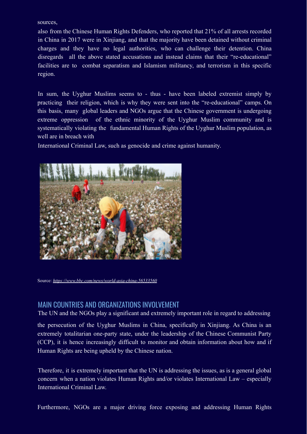sources,

also from the Chinese Human Rights Defenders, who reported that 21% of all arrests recorded in China in 2017 were in Xinjiang, and that the majority have been detained without criminal charges and they have no legal authorities, who can challenge their detention. China disregards all the above stated accusations and instead claims that their "re-educational" facilities are to combat separatism and Islamism militancy, and terrorism in this specific region.

In sum, the Uyghur Muslims seems to - thus - have been labeled extremist simply by practicing their religion, which is why they were sent into the "re-educational" camps. On this basis, many global leaders and NGOs argue that the Chinese government is undergoing extreme oppression of the ethnic minority of the Uyghur Muslim community and is systematically violating the fundamental Human Rights of the Uyghur Muslim population, as well are in breach with

International Criminal Law, such as genocide and crime against humanity.



Source: *https://www.bbc.com/news/world-asia-china-56533560*

## MAIN COUNTRIES AND ORGANIZATIONS INVOLVEMENT

The UN and the NGOs play a significant and extremely important role in regard to addressing

the persecution of the Uyghur Muslims in China, specifically in Xinjiang. As China is an extremely totalitarian one-party state, under the leadership of the Chinese Communist Party (CCP), it is hence increasingly difficult to monitor and obtain information about how and if Human Rights are being upheld by the Chinese nation.

Therefore, it is extremely important that the UN is addressing the issues, as is a general global concern when a nation violates Human Rights and/or violates International Law – especially International Criminal Law.

Furthermore, NGOs are a major driving force exposing and addressing Human Rights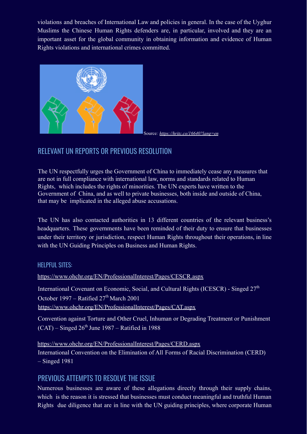violations and breaches of International Law and policies in general. In the case of the Uyghur Muslims the Chinese Human Rights defenders are, in particular, involved and they are an important asset for the global community in obtaining information and evidence of Human Rights violations and international crimes committed.



Source*: https://hritc.co/16640?lang=en*

# RELEVANT UN REPORTS OR PREVIOUS RESOLUTION

The UN respectfully urges the Government of China to immediately cease any measures that are not in full compliance with international law, norms and standards related to Human Rights, which includes the rights of minorities. The UN experts have written to the Government of China, and as well to private businesses, both inside and outside of China, that may be implicated in the alleged abuse accusations.

The UN has also contacted authorities in 13 different countries of the relevant business's headquarters. These governments have been reminded of their duty to ensure that businesses under their territory or jurisdiction, respect Human Rights throughout their operations, in line with the UN Guiding Principles on Business and Human Rights.

#### HELPFUL SITES:

https://www.ohchr.org/EN/ProfessionalInterest/Pages/CESCR.aspx

International Covenant on Economic, Social, and Cultural Rights (ICESCR) - Singed 27<sup>th</sup> October 1997 – Ratified  $27<sup>th</sup>$  March 2001 https://www.ohchr.org/EN/ProfessionalInterest/Pages/CAT.aspx

Convention against Torture and Other Cruel, Inhuman or Degrading Treatment or Punishment  $(CAT)$  – Singed  $26<sup>th</sup>$  June 1987 – Ratified in 1988

https://www.ohchr.org/EN/ProfessionalInterest/Pages/CERD.aspx International Convention on the Elimination of All Forms of Racial Discrimination (CERD) – Singed 1981

## PREVIOUS ATTEMPTS TO RESOLVE THE ISSUE

Numerous businesses are aware of these allegations directly through their supply chains, which is the reason it is stressed that businesses must conduct meaningful and truthful Human Rights due diligence that are in line with the UN guiding principles, where corporate Human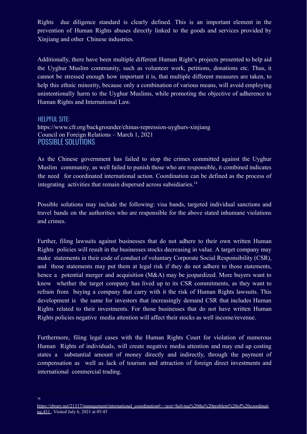Rights due diligence standard is clearly defined. This is an important element in the prevention of Human Rights abuses directly linked to the goods and services provided by Xinjiang and other Chinese industries.

Additionally, there have been multiple different Human Right's projects presented to help aid the Uyghur Muslim community, such as volunteer work, petitions, donations etc. Thus, it cannot be stressed enough how important it is, that multiple different measures are taken, to help this ethnic minority, because only a combination of various means, will avoid employing unintentionally harm to the Uyghur Muslims, while promoting the objective of adherence to Human Rights and International Law.

HELPFUL SITE: https://www.cfr.org/backgrounder/chinas-repression-uyghurs-xinjiang Council on Foreign Relations – March 1, 2021 POSSIBLE SOLUTIONS

As the Chinese government has failed to stop the crimes committed against the Uyghur Muslim community, as well failed to punish those who are responsible, it combined indicates the need for coordinated international action. Coordination can be defined as the process of integrating activities that remain dispersed across subsidiaries.<sup>14</sup>

Possible solutions may include the following: visa bands, targeted individual sanctions and travel bands on the authorities who are responsible for the above stated inhumane violations and crimes.

Further, filing lawsuits against businesses that do not adhere to their own written Human Rights policies will result in the businesses stocks decreasing in value. A target company may make statements in their code of conduct of voluntary Corporate Social Responsibility (CSR), and those statements may put them at legal risk if they do not adhere to those statements, hence a potential merger and acquisition (M&A) may be jeopardized. More buyers want to know whether the target company has lived up to its CSR commitments, as they want to refrain from buying a company that carry with it the risk of Human Rights lawsuits. This development is the same for investors that increasingly demand CSR that includes Human Rights related to their investments. For those businesses that do not have written Human Rights policies negative media attention will affect their stocks as well income/revenue.

Furthermore, filing legal cases with the Human Rights Court for violation of numerous Human Rights of individuals, will create negative media attention and may end up costing states a substantial amount of money directly and indirectly, through the payment of compensation as well as lack of tourism and attraction of foreign direct investments and international commercial trading.

14

https://ebrary.net/21317/management/international\_coordination#:~:text=Solving%20the%20problem%20of%20coordinati ng,431 , Visited July 6, 2021 at 05:45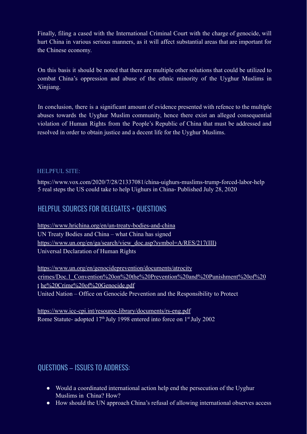Finally, filing a cased with the International Criminal Court with the charge of genocide, will hurt China in various serious manners, as it will affect substantial areas that are important for the Chinese economy.

On this basis it should be noted that there are multiple other solutions that could be utilized to combat China's oppression and abuse of the ethnic minority of the Uyghur Muslims in Xinjiang.

In conclusion, there is a significant amount of evidence presented with refence to the multiple abuses towards the Uyghur Muslim community, hence there exist an alleged consequential violation of Human Rights from the People's Republic of China that must be addressed and resolved in order to obtain justice and a decent life for the Uyghur Muslims.

#### HELPFUL SITE:

https://www.vox.com/2020/7/28/21337081/china-uighurs-muslims-trump-forced-labor-help 5 real steps the US could take to help Uighurs in China- Published July 28, 2020

# HELPFUL SOURCES FOR DELEGATES + QUESTIONS

https://www.hrichina.org/en/un-treaty-bodies-and-china UN Treaty Bodies and China – what China has signed https://www.un.org/en/ga/search/view\_doc.asp?symbol=A/RES/217(III) Universal Declaration of Human Rights

https://www.un.org/en/genocideprevention/documents/atrocity crimes/Doc.1\_Convention%20on%20the%20Prevention%20and%20Punishment%20of%20 t he%20Crime%20of%20Genocide.pdf United Nation – Office on Genocide Prevention and the Responsibility to Protect

https://www.icc-cpi.int/resource-library/documents/rs-eng.pdf Rome Statute- adopted 17<sup>th</sup> July 1998 entered into force on 1<sup>st</sup> July 2002

# QUESTIONS – ISSUES TO ADDRESS:

- Would a coordinated international action help end the persecution of the Uyghur Muslims in China? How?
- How should the UN approach China's refusal of allowing international observes access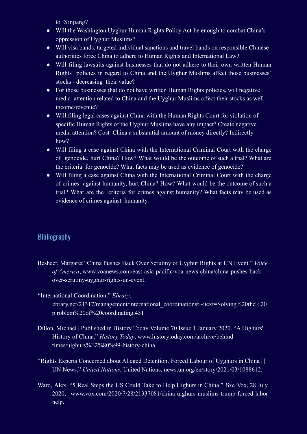to Xiniiang?

- Will the Washington Uyghur Human Rights Policy Act be enough to combat China's oppression of Uyghur Muslims?
- Will visa bands, targeted individual sanctions and travel bands on responsible Chinese authorities force China to adhere to Human Rights and International Law?
- Will filing lawsuits against businesses that do not adhere to their own written Human Rights policies in regard to China and the Uyghur Muslims affect those businesses' stocks - decreasing their value?
- For those businesses that do not have written Human Rights policies, will negative media attention related to China and the Uyghur Muslims affect their stocks as well income/revenue?
- Will filing legal cases against China with the Human Rights Court for violation of specific Human Rights of the Uyghur Muslims have any impact? Create negative media attention? Cost China a substantial amount of money directly? Indirectly – how?
- Will filing a case against China with the International Criminal Court with the charge of genocide, hurt China? How? What would be the outcome of such a trial? What are the criteria for genocide? What facts may be used as evidence of genocide?
- Will filing a case against China with the International Criminal Court with the charge of crimes against humanity, hurt China? How? What would be the outcome of such a trial? What are the criteria for crimes against humanity? What facts may be used as evidence of crimes against humanity.

# **Bibliography**

- Besheer, Margaret "China Pushes Back Over Scrutiny of Uyghur Rights at UN Event." *Voice of America*, www.voanews.com/east-asia-pacific/voa-news-china/china-pushes-back over-scrutiny-uyghur-rights-un-event.
- "International Coordination." *Ebrary*, ebrary.net/21317/management/international\_coordination#:~:text=Solving%20the%20 p roblem%20of%20coordinating,431
- Dillon, Michael | Published in History Today Volume 70 Issue 1 January 2020. "A Uighurs' History of China." *History Today*, www.historytoday.com/archive/behind times/uighurs%E2%80%99-history-china.
- "Rights Experts Concerned about Alleged Detention, Forced Labour of Uyghurs in China | | UN News." *United Nations*, United Nations, news.un.org/en/story/2021/03/1088612.
- Ward, Alex. "5 Real Steps the US Could Take to Help Uighurs in China." *Vox*, Vox, 28 July 2020, www.vox.com/2020/7/28/21337081/china-uighurs-muslims-trump-forced-labor help.